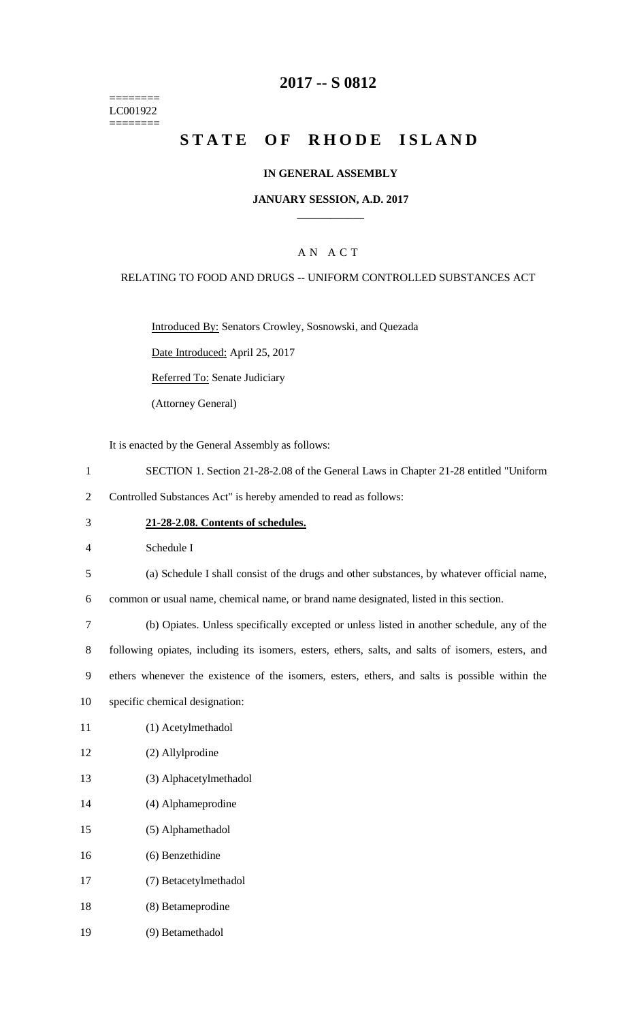======== LC001922 ========

### **2017 -- S 0812**

# **STATE OF RHODE ISLAND**

### **IN GENERAL ASSEMBLY**

#### **JANUARY SESSION, A.D. 2017 \_\_\_\_\_\_\_\_\_\_\_\_**

### A N A C T

#### RELATING TO FOOD AND DRUGS -- UNIFORM CONTROLLED SUBSTANCES ACT

Introduced By: Senators Crowley, Sosnowski, and Quezada

Date Introduced: April 25, 2017

Referred To: Senate Judiciary

(Attorney General)

It is enacted by the General Assembly as follows:

- 1 SECTION 1. Section 21-28-2.08 of the General Laws in Chapter 21-28 entitled "Uniform
- 2 Controlled Substances Act" is hereby amended to read as follows:
- 3 **21-28-2.08. Contents of schedules.**

4 Schedule I

5 (a) Schedule I shall consist of the drugs and other substances, by whatever official name,

6 common or usual name, chemical name, or brand name designated, listed in this section.

 (b) Opiates. Unless specifically excepted or unless listed in another schedule, any of the following opiates, including its isomers, esters, ethers, salts, and salts of isomers, esters, and ethers whenever the existence of the isomers, esters, ethers, and salts is possible within the specific chemical designation:

- 11 (1) Acetylmethadol
- 12 (2) Allylprodine
- 13 (3) Alphacetylmethadol
- 14 (4) Alphameprodine
- 15 (5) Alphamethadol
- 16 (6) Benzethidine
- 17 (7) Betacetylmethadol
- 18 (8) Betameprodine
- 19 (9) Betamethadol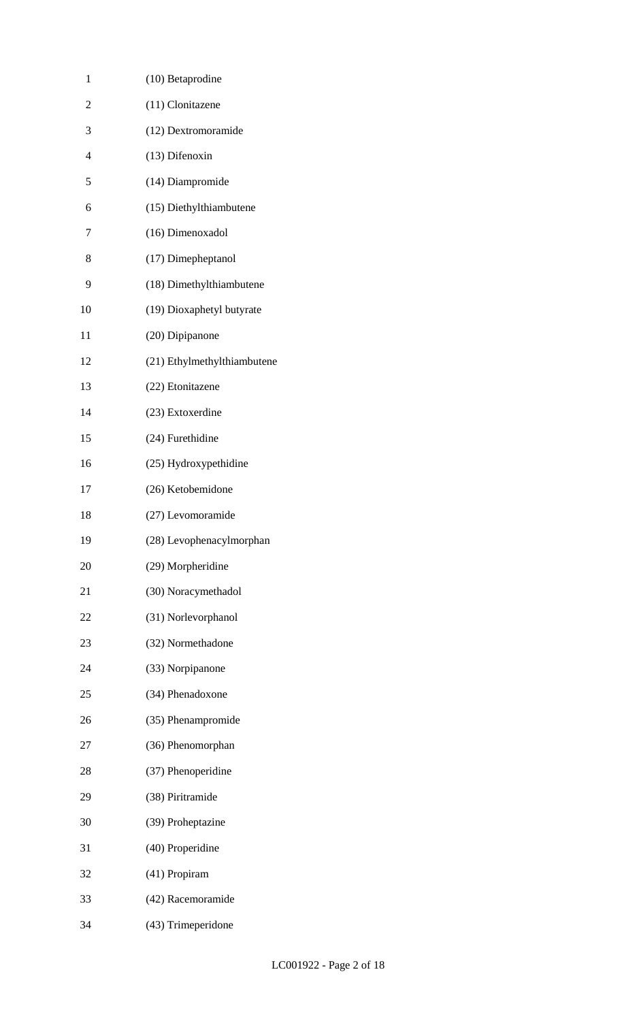| 1              | (10) Betaprodine            |
|----------------|-----------------------------|
| $\overline{2}$ | (11) Clonitazene            |
| 3              | (12) Dextromoramide         |
| $\overline{4}$ | (13) Difenoxin              |
| 5              | (14) Diampromide            |
| 6              | (15) Diethylthiambutene     |
| 7              | (16) Dimenoxadol            |
| 8              | (17) Dimepheptanol          |
| 9              | (18) Dimethylthiambutene    |
| 10             | (19) Dioxaphetyl butyrate   |
| 11             | (20) Dipipanone             |
| 12             | (21) Ethylmethylthiambutene |
| 13             | (22) Etonitazene            |
| 14             | (23) Extoxerdine            |
| 15             | (24) Furethidine            |
| 16             | (25) Hydroxypethidine       |
| 17             | (26) Ketobemidone           |
| 18             | (27) Levomoramide           |
| 19             | (28) Levophenacylmorphan    |
| 20             | (29) Morpheridine           |
| 21             | (30) Noracymethadol         |
| 22             | (31) Norlevorphanol         |
| 23             | (32) Normethadone           |
| 24             | (33) Norpipanone            |
| 25             | (34) Phenadoxone            |
| 26             | (35) Phenampromide          |
| 27             | (36) Phenomorphan           |
| 28             | (37) Phenoperidine          |
| 29             | (38) Piritramide            |
| 30             | (39) Proheptazine           |
| 31             | (40) Properidine            |
| 32             | (41) Propiram               |
| 33             | (42) Racemoramide           |
| 34             | (43) Trimeperidone          |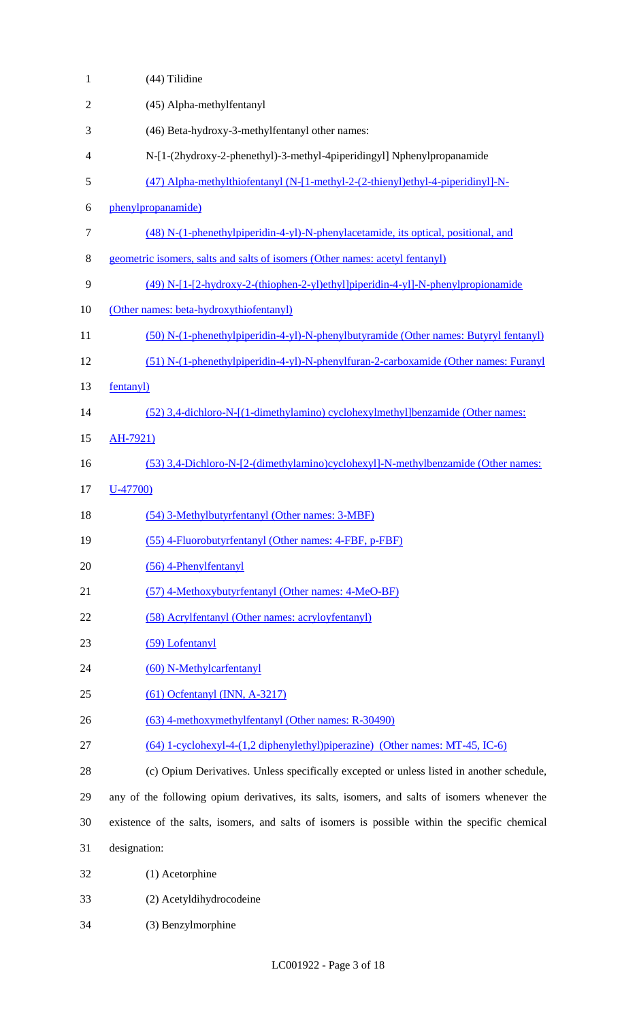| $\mathbf{1}$   | (44) Tilidine                                                                                  |
|----------------|------------------------------------------------------------------------------------------------|
| $\mathfrak{2}$ | (45) Alpha-methylfentanyl                                                                      |
| 3              | (46) Beta-hydroxy-3-methylfentanyl other names:                                                |
| 4              | N-[1-(2hydroxy-2-phenethyl)-3-methyl-4piperidingyl] Nphenylpropanamide                         |
| 5              | (47) Alpha-methylthiofentanyl (N-[1-methyl-2-(2-thienyl)ethyl-4-piperidinyl]-N-                |
| 6              | phenylpropanamide)                                                                             |
| $\tau$         | (48) N-(1-phenethylpiperidin-4-yl)-N-phenylacetamide, its optical, positional, and             |
| $8\,$          | geometric isomers, salts and salts of isomers (Other names: acetyl fentanyl)                   |
| 9              | (49) N-[1-[2-hydroxy-2-(thiophen-2-yl)ethyl]piperidin-4-yl]-N-phenylpropionamide               |
| 10             | (Other names: beta-hydroxythiofentanyl)                                                        |
| 11             | (50) N-(1-phenethylpiperidin-4-yl)-N-phenylbutyramide (Other names: Butyryl fentanyl)          |
| 12             | (51) N-(1-phenethylpiperidin-4-yl)-N-phenylfuran-2-carboxamide (Other names: Furanyl           |
| 13             | fentanyl)                                                                                      |
| 14             | (52) 3,4-dichloro-N-[(1-dimethylamino) cyclohexylmethyl]benzamide (Other names:                |
| 15             | AH-7921)                                                                                       |
| 16             | (53) 3,4-Dichloro-N-[2-(dimethylamino)cyclohexyl]-N-methylbenzamide (Other names:              |
| 17             | $U-47700$                                                                                      |
| 18             | (54) 3-Methylbutyrfentanyl (Other names: 3-MBF)                                                |
| 19             | (55) 4-Fluorobutyrfentanyl (Other names: 4-FBF, p-FBF)                                         |
| 20             | $(56)$ 4-Phenylfentanyl                                                                        |
| 21             | (57) 4-Methoxybutyrfentanyl (Other names: 4-MeO-BF)                                            |
| 22             | (58) Acrylfentanyl (Other names: acryloyfentanyl)                                              |
| 23             | (59) Lofentanyl                                                                                |
| 24             | (60) N-Methylcarfentanyl                                                                       |
| 25             | $(61)$ Ocfentanyl (INN, A-3217)                                                                |
| 26             | (63) 4-methoxymethylfentanyl (Other names: R-30490)                                            |
| 27             | (64) 1-cyclohexyl-4-(1,2 diphenylethyl)piperazine) (Other names: MT-45, IC-6)                  |
| 28             | (c) Opium Derivatives. Unless specifically excepted or unless listed in another schedule,      |
| 29             | any of the following opium derivatives, its salts, isomers, and salts of isomers whenever the  |
| 30             | existence of the salts, isomers, and salts of isomers is possible within the specific chemical |
| 31             | designation:                                                                                   |
| 32             | (1) Acetorphine                                                                                |
| 33             | (2) Acetyldihydrocodeine                                                                       |
| 34             | (3) Benzylmorphine                                                                             |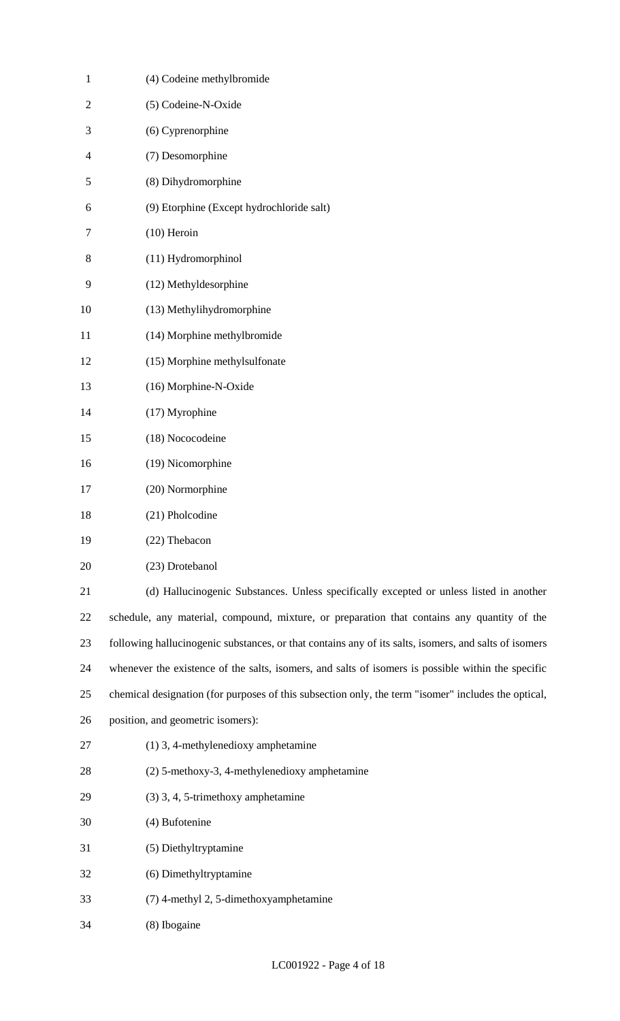| $\mathbf{1}$   | (4) Codeine methylbromide                                                                             |
|----------------|-------------------------------------------------------------------------------------------------------|
| $\overline{2}$ | (5) Codeine-N-Oxide                                                                                   |
| 3              | (6) Cyprenorphine                                                                                     |
| 4              | (7) Desomorphine                                                                                      |
| 5              | (8) Dihydromorphine                                                                                   |
| 6              | (9) Etorphine (Except hydrochloride salt)                                                             |
| 7              | $(10)$ Heroin                                                                                         |
| 8              | (11) Hydromorphinol                                                                                   |
| 9              | (12) Methyldesorphine                                                                                 |
| 10             | (13) Methylihydromorphine                                                                             |
| 11             | (14) Morphine methylbromide                                                                           |
| 12             | (15) Morphine methylsulfonate                                                                         |
| 13             | (16) Morphine-N-Oxide                                                                                 |
| 14             | (17) Myrophine                                                                                        |
| 15             | (18) Nococodeine                                                                                      |
| 16             | (19) Nicomorphine                                                                                     |
| 17             | (20) Normorphine                                                                                      |
| 18             | (21) Pholcodine                                                                                       |
| 19             | (22) Thebacon                                                                                         |
| 20             | (23) Drotebanol                                                                                       |
| 21             | (d) Hallucinogenic Substances. Unless specifically excepted or unless listed in another               |
| 22             | schedule, any material, compound, mixture, or preparation that contains any quantity of the           |
| 23             | following hallucinogenic substances, or that contains any of its salts, isomers, and salts of isomers |
| 24             | whenever the existence of the salts, isomers, and salts of isomers is possible within the specific    |
| 25             | chemical designation (for purposes of this subsection only, the term "isomer" includes the optical,   |
| 26             | position, and geometric isomers):                                                                     |
| 27             | (1) 3, 4-methylenedioxy amphetamine                                                                   |
| 28             | (2) 5-methoxy-3, 4-methylenedioxy amphetamine                                                         |
| 29             | (3) 3, 4, 5-trimethoxy amphetamine                                                                    |
| 30             | (4) Bufotenine                                                                                        |
| 31             | (5) Diethyltryptamine                                                                                 |
| 32             | (6) Dimethyltryptamine                                                                                |
| 33             | (7) 4-methyl 2, 5-dimethoxyamphetamine                                                                |
| 34             | (8) Ibogaine                                                                                          |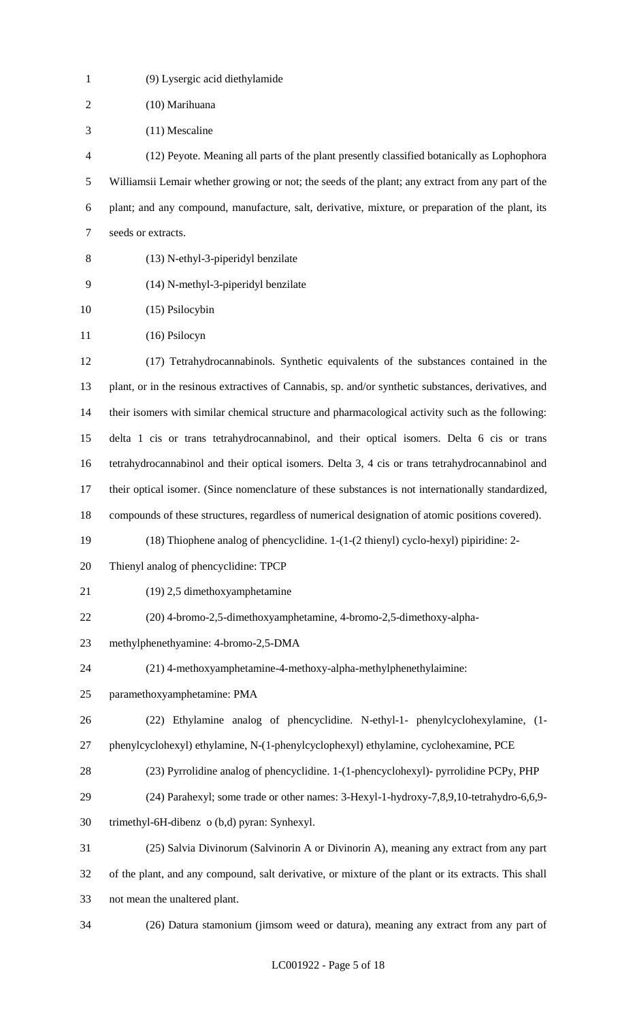| $\mathbf{1}$   | (9) Lysergic acid diethylamide                                                                       |
|----------------|------------------------------------------------------------------------------------------------------|
| $\sqrt{2}$     | (10) Marihuana                                                                                       |
| 3              | $(11)$ Mescaline                                                                                     |
| $\overline{4}$ | (12) Peyote. Meaning all parts of the plant presently classified botanically as Lophophora           |
| 5              | Williamsii Lemair whether growing or not; the seeds of the plant; any extract from any part of the   |
| 6              | plant; and any compound, manufacture, salt, derivative, mixture, or preparation of the plant, its    |
| $\tau$         | seeds or extracts.                                                                                   |
| 8              | (13) N-ethyl-3-piperidyl benzilate                                                                   |
| 9              | (14) N-methyl-3-piperidyl benzilate                                                                  |
| 10             | (15) Psilocybin                                                                                      |
| 11             | $(16)$ Psilocyn                                                                                      |
| 12             | (17) Tetrahydrocannabinols. Synthetic equivalents of the substances contained in the                 |
| 13             | plant, or in the resinous extractives of Cannabis, sp. and/or synthetic substances, derivatives, and |
| 14             | their isomers with similar chemical structure and pharmacological activity such as the following:    |
| 15             | delta 1 cis or trans tetrahydrocannabinol, and their optical isomers. Delta 6 cis or trans           |
| 16             | tetrahydrocannabinol and their optical isomers. Delta 3, 4 cis or trans tetrahydrocannabinol and     |
| 17             | their optical isomer. (Since nomenclature of these substances is not internationally standardized,   |
| 18             | compounds of these structures, regardless of numerical designation of atomic positions covered).     |
| 19             | (18) Thiophene analog of phencyclidine. 1-(1-(2 thienyl) cyclo-hexyl) pipiridine: 2-                 |
| 20             | Thienyl analog of phencyclidine: TPCP                                                                |
| 21             | (19) 2,5 dimethoxyamphetamine                                                                        |
| 22             | (20) 4-bromo-2,5-dimethoxyamphetamine, 4-bromo-2,5-dimethoxy-alpha-                                  |
| 23             | methylphenethyamine: 4-bromo-2,5-DMA                                                                 |
| 24             | (21) 4-methoxyamphetamine-4-methoxy-alpha-methylphenethylaimine:                                     |
| 25             | paramethoxyamphetamine: PMA                                                                          |
| 26             | (22) Ethylamine analog of phencyclidine. N-ethyl-1- phenylcyclohexylamine, (1-                       |
| 27             | phenylcyclohexyl) ethylamine, N-(1-phenylcyclophexyl) ethylamine, cyclohexamine, PCE                 |
| 28             | (23) Pyrrolidine analog of phencyclidine. 1-(1-phencyclohexyl)- pyrrolidine PCPy, PHP                |
| 29             | (24) Parahexyl; some trade or other names: 3-Hexyl-1-hydroxy-7,8,9,10-tetrahydro-6,6,9-              |
| 30             | trimethyl-6H-dibenz o (b,d) pyran: Synhexyl.                                                         |
| 31             | (25) Salvia Divinorum (Salvinorin A or Divinorin A), meaning any extract from any part               |
| 32             | of the plant, and any compound, salt derivative, or mixture of the plant or its extracts. This shall |
| 33             | not mean the unaltered plant.                                                                        |
| 34             | (26) Datura stamonium (jimsom weed or datura), meaning any extract from any part of                  |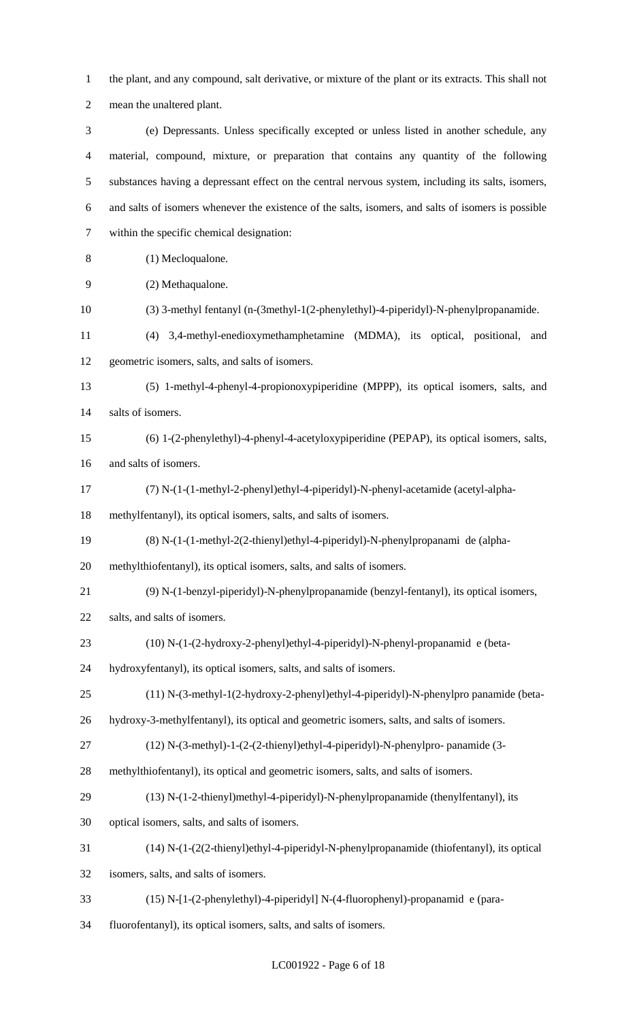the plant, and any compound, salt derivative, or mixture of the plant or its extracts. This shall not mean the unaltered plant.

 (e) Depressants. Unless specifically excepted or unless listed in another schedule, any material, compound, mixture, or preparation that contains any quantity of the following substances having a depressant effect on the central nervous system, including its salts, isomers, and salts of isomers whenever the existence of the salts, isomers, and salts of isomers is possible within the specific chemical designation:

- (1) Mecloqualone.
- (2) Methaqualone.
- (3) 3-methyl fentanyl (n-(3methyl-1(2-phenylethyl)-4-piperidyl)-N-phenylpropanamide.
- (4) 3,4-methyl-enedioxymethamphetamine (MDMA), its optical, positional, and geometric isomers, salts, and salts of isomers.
- (5) 1-methyl-4-phenyl-4-propionoxypiperidine (MPPP), its optical isomers, salts, and salts of isomers.
- (6) 1-(2-phenylethyl)-4-phenyl-4-acetyloxypiperidine (PEPAP), its optical isomers, salts, and salts of isomers.
- (7) N-(1-(1-methyl-2-phenyl)ethyl-4-piperidyl)-N-phenyl-acetamide (acetyl-alpha-
- methylfentanyl), its optical isomers, salts, and salts of isomers.
- (8) N-(1-(1-methyl-2(2-thienyl)ethyl-4-piperidyl)-N-phenylpropanami de (alpha-

methylthiofentanyl), its optical isomers, salts, and salts of isomers.

- (9) N-(1-benzyl-piperidyl)-N-phenylpropanamide (benzyl-fentanyl), its optical isomers,
- salts, and salts of isomers.
- (10) N-(1-(2-hydroxy-2-phenyl)ethyl-4-piperidyl)-N-phenyl-propanamid e (beta-
- hydroxyfentanyl), its optical isomers, salts, and salts of isomers.
- (11) N-(3-methyl-1(2-hydroxy-2-phenyl)ethyl-4-piperidyl)-N-phenylpro panamide (beta-
- hydroxy-3-methylfentanyl), its optical and geometric isomers, salts, and salts of isomers.
- (12) N-(3-methyl)-1-(2-(2-thienyl)ethyl-4-piperidyl)-N-phenylpro- panamide (3-
- methylthiofentanyl), its optical and geometric isomers, salts, and salts of isomers.
- (13) N-(1-2-thienyl)methyl-4-piperidyl)-N-phenylpropanamide (thenylfentanyl), its
- optical isomers, salts, and salts of isomers.
- (14) N-(1-(2(2-thienyl)ethyl-4-piperidyl-N-phenylpropanamide (thiofentanyl), its optical

isomers, salts, and salts of isomers.

- (15) N-[1-(2-phenylethyl)-4-piperidyl] N-(4-fluorophenyl)-propanamid e (para-
- fluorofentanyl), its optical isomers, salts, and salts of isomers.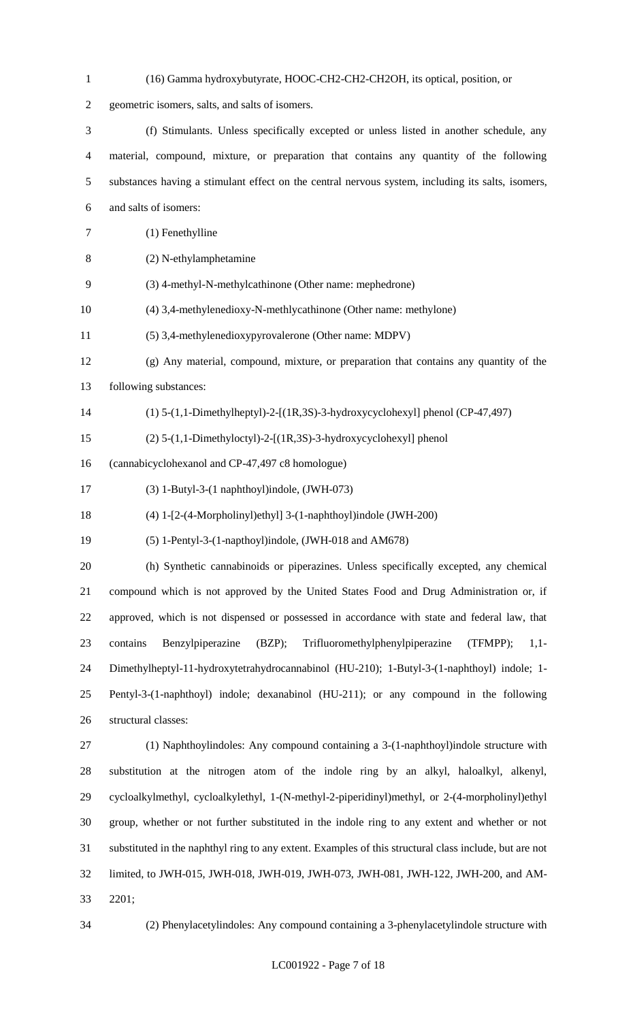| $\mathbf{1}$   | (16) Gamma hydroxybutyrate, HOOC-CH2-CH2-CH2OH, its optical, position, or                              |
|----------------|--------------------------------------------------------------------------------------------------------|
| $\overline{2}$ | geometric isomers, salts, and salts of isomers.                                                        |
| 3              | (f) Stimulants. Unless specifically excepted or unless listed in another schedule, any                 |
| $\overline{4}$ | material, compound, mixture, or preparation that contains any quantity of the following                |
| 5              | substances having a stimulant effect on the central nervous system, including its salts, isomers,      |
| 6              | and salts of isomers:                                                                                  |
| 7              | (1) Fenethylline                                                                                       |
| 8              | (2) N-ethylamphetamine                                                                                 |
| 9              | (3) 4-methyl-N-methylcathinone (Other name: mephedrone)                                                |
| 10             | (4) 3,4-methylenedioxy-N-methlycathinone (Other name: methylone)                                       |
| 11             | (5) 3,4-methylenedioxypyrovalerone (Other name: MDPV)                                                  |
| 12             | $(g)$ Any material, compound, mixture, or preparation that contains any quantity of the                |
| 13             | following substances:                                                                                  |
| 14             | $(1)$ 5- $(1,1$ -Dimethylheptyl)-2- $[(1R,3S)$ -3-hydroxycyclohexyl] phenol (CP-47,497)                |
| 15             | $(2)$ 5- $(1,1$ -Dimethyloctyl)-2- $[(1R,3S)$ -3-hydroxycyclohexyl] phenol                             |
| 16             | (cannabicyclohexanol and CP-47,497 c8 homologue)                                                       |
| 17             | $(3)$ 1-Butyl-3- $(1$ naphthoyl)indole, $(JWH-073)$                                                    |
| 18             | (4) 1-[2-(4-Morpholinyl)ethyl] 3-(1-naphthoyl)indole (JWH-200)                                         |
| 19             | (5) 1-Pentyl-3-(1-napthoyl)indole, (JWH-018 and AM678)                                                 |
| 20             | (h) Synthetic cannabinoids or piperazines. Unless specifically excepted, any chemical                  |
| 21             | compound which is not approved by the United States Food and Drug Administration or, if                |
| 22             | approved, which is not dispensed or possessed in accordance with state and federal law, that           |
| 23             | Benzylpiperazine<br>Trifluoromethylphenylpiperazine<br>(TFMPP);<br>contains<br>(BZP);<br>$1,1-$        |
| 24             | Dimethylheptyl-11-hydroxytetrahydrocannabinol (HU-210); 1-Butyl-3-(1-naphthoyl) indole; 1-             |
| 25             | Pentyl-3-(1-naphthoyl) indole; dexanabinol (HU-211); or any compound in the following                  |
| 26             | structural classes:                                                                                    |
| 27             | (1) Naphthoylindoles: Any compound containing a 3-(1-naphthoyl)indole structure with                   |
| 28             | substitution at the nitrogen atom of the indole ring by an alkyl, haloalkyl, alkenyl,                  |
| 29             | cycloalkylmethyl, cycloalkylethyl, 1-(N-methyl-2-piperidinyl)methyl, or 2-(4-morpholinyl)ethyl         |
| 30             | group, whether or not further substituted in the indole ring to any extent and whether or not          |
| 31             | substituted in the naphthyl ring to any extent. Examples of this structural class include, but are not |
| 32             | limited, to JWH-015, JWH-018, JWH-019, JWH-073, JWH-081, JWH-122, JWH-200, and AM-                     |
| 33             | 2201;                                                                                                  |

(2) Phenylacetylindoles: Any compound containing a 3-phenylacetylindole structure with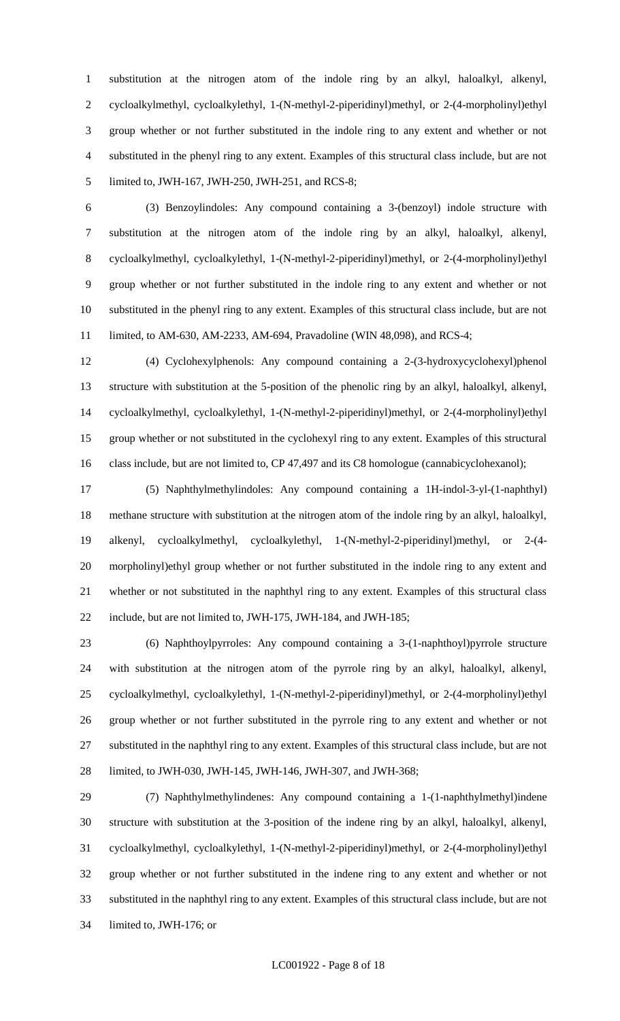substitution at the nitrogen atom of the indole ring by an alkyl, haloalkyl, alkenyl, cycloalkylmethyl, cycloalkylethyl, 1-(N-methyl-2-piperidinyl)methyl, or 2-(4-morpholinyl)ethyl group whether or not further substituted in the indole ring to any extent and whether or not substituted in the phenyl ring to any extent. Examples of this structural class include, but are not limited to, JWH-167, JWH-250, JWH-251, and RCS-8;

 (3) Benzoylindoles: Any compound containing a 3-(benzoyl) indole structure with substitution at the nitrogen atom of the indole ring by an alkyl, haloalkyl, alkenyl, cycloalkylmethyl, cycloalkylethyl, 1-(N-methyl-2-piperidinyl)methyl, or 2-(4-morpholinyl)ethyl group whether or not further substituted in the indole ring to any extent and whether or not substituted in the phenyl ring to any extent. Examples of this structural class include, but are not limited, to AM-630, AM-2233, AM-694, Pravadoline (WIN 48,098), and RCS-4;

 (4) Cyclohexylphenols: Any compound containing a 2-(3-hydroxycyclohexyl)phenol structure with substitution at the 5-position of the phenolic ring by an alkyl, haloalkyl, alkenyl, cycloalkylmethyl, cycloalkylethyl, 1-(N-methyl-2-piperidinyl)methyl, or 2-(4-morpholinyl)ethyl group whether or not substituted in the cyclohexyl ring to any extent. Examples of this structural 16 class include, but are not limited to, CP 47,497 and its C8 homologue (cannabicyclohexanol);

 (5) Naphthylmethylindoles: Any compound containing a 1H-indol-3-yl-(1-naphthyl) methane structure with substitution at the nitrogen atom of the indole ring by an alkyl, haloalkyl, alkenyl, cycloalkylmethyl, cycloalkylethyl, 1-(N-methyl-2-piperidinyl)methyl, or 2-(4- morpholinyl)ethyl group whether or not further substituted in the indole ring to any extent and whether or not substituted in the naphthyl ring to any extent. Examples of this structural class include, but are not limited to, JWH-175, JWH-184, and JWH-185;

 (6) Naphthoylpyrroles: Any compound containing a 3-(1-naphthoyl)pyrrole structure with substitution at the nitrogen atom of the pyrrole ring by an alkyl, haloalkyl, alkenyl, cycloalkylmethyl, cycloalkylethyl, 1-(N-methyl-2-piperidinyl)methyl, or 2-(4-morpholinyl)ethyl group whether or not further substituted in the pyrrole ring to any extent and whether or not substituted in the naphthyl ring to any extent. Examples of this structural class include, but are not limited, to JWH-030, JWH-145, JWH-146, JWH-307, and JWH-368;

 (7) Naphthylmethylindenes: Any compound containing a 1-(1-naphthylmethyl)indene structure with substitution at the 3-position of the indene ring by an alkyl, haloalkyl, alkenyl, cycloalkylmethyl, cycloalkylethyl, 1-(N-methyl-2-piperidinyl)methyl, or 2-(4-morpholinyl)ethyl group whether or not further substituted in the indene ring to any extent and whether or not substituted in the naphthyl ring to any extent. Examples of this structural class include, but are not limited to, JWH-176; or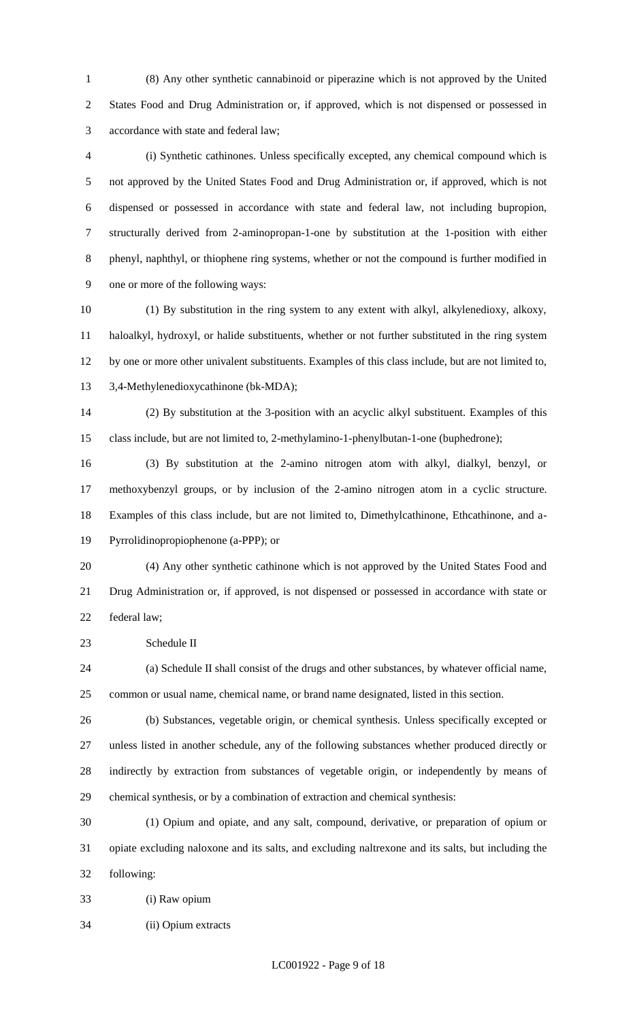(8) Any other synthetic cannabinoid or piperazine which is not approved by the United States Food and Drug Administration or, if approved, which is not dispensed or possessed in accordance with state and federal law;

 (i) Synthetic cathinones. Unless specifically excepted, any chemical compound which is not approved by the United States Food and Drug Administration or, if approved, which is not dispensed or possessed in accordance with state and federal law, not including bupropion, structurally derived from 2-aminopropan-1-one by substitution at the 1-position with either phenyl, naphthyl, or thiophene ring systems, whether or not the compound is further modified in one or more of the following ways:

 (1) By substitution in the ring system to any extent with alkyl, alkylenedioxy, alkoxy, haloalkyl, hydroxyl, or halide substituents, whether or not further substituted in the ring system by one or more other univalent substituents. Examples of this class include, but are not limited to, 3,4-Methylenedioxycathinone (bk-MDA);

 (2) By substitution at the 3-position with an acyclic alkyl substituent. Examples of this class include, but are not limited to, 2-methylamino-1-phenylbutan-1-one (buphedrone);

 (3) By substitution at the 2-amino nitrogen atom with alkyl, dialkyl, benzyl, or methoxybenzyl groups, or by inclusion of the 2-amino nitrogen atom in a cyclic structure. Examples of this class include, but are not limited to, Dimethylcathinone, Ethcathinone, and a-Pyrrolidinopropiophenone (a-PPP); or

 (4) Any other synthetic cathinone which is not approved by the United States Food and Drug Administration or, if approved, is not dispensed or possessed in accordance with state or federal law;

Schedule II

 (a) Schedule II shall consist of the drugs and other substances, by whatever official name, common or usual name, chemical name, or brand name designated, listed in this section.

 (b) Substances, vegetable origin, or chemical synthesis. Unless specifically excepted or unless listed in another schedule, any of the following substances whether produced directly or indirectly by extraction from substances of vegetable origin, or independently by means of chemical synthesis, or by a combination of extraction and chemical synthesis:

 (1) Opium and opiate, and any salt, compound, derivative, or preparation of opium or opiate excluding naloxone and its salts, and excluding naltrexone and its salts, but including the following:

(i) Raw opium

(ii) Opium extracts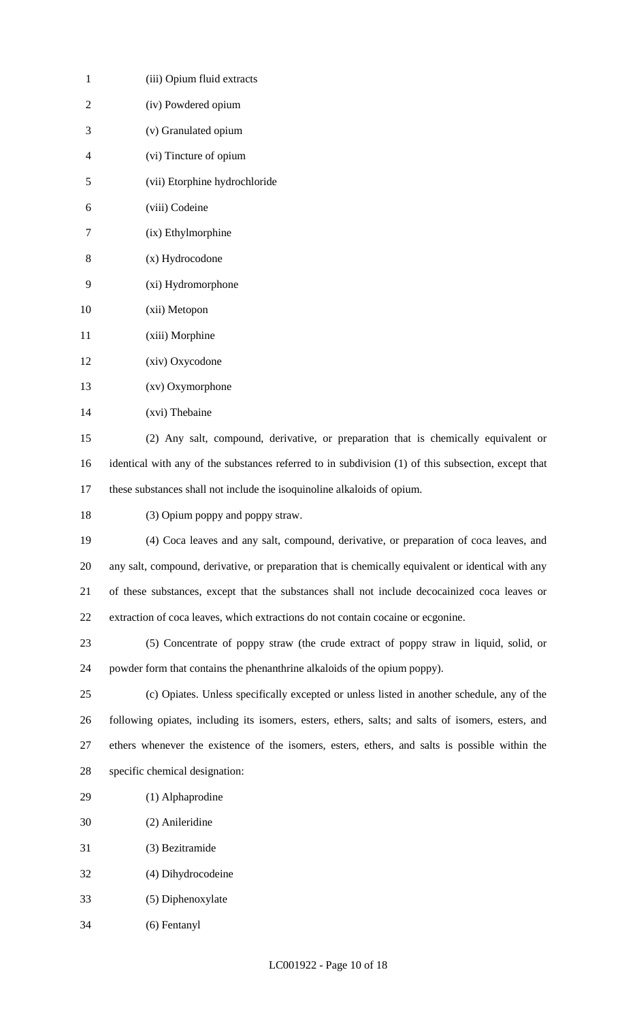| $\mathbf{1}$   | (iii) Opium fluid extracts                                                                          |
|----------------|-----------------------------------------------------------------------------------------------------|
| $\overline{2}$ | (iv) Powdered opium                                                                                 |
| 3              | (v) Granulated opium                                                                                |
| $\overline{4}$ | (vi) Tincture of opium                                                                              |
| 5              | (vii) Etorphine hydrochloride                                                                       |
| 6              | (viii) Codeine                                                                                      |
| 7              | (ix) Ethylmorphine                                                                                  |
| 8              | (x) Hydrocodone                                                                                     |
| 9              | (xi) Hydromorphone                                                                                  |
| 10             | (xii) Metopon                                                                                       |
| 11             | (xiii) Morphine                                                                                     |
| 12             | (xiv) Oxycodone                                                                                     |
| 13             | (xv) Oxymorphone                                                                                    |
| 14             | (xvi) Thebaine                                                                                      |
| 15             | (2) Any salt, compound, derivative, or preparation that is chemically equivalent or                 |
| 16             | identical with any of the substances referred to in subdivision (1) of this subsection, except that |
| 17             | these substances shall not include the isoquinoline alkaloids of opium.                             |
| 18             | (3) Opium poppy and poppy straw.                                                                    |
| 19             | (4) Coca leaves and any salt, compound, derivative, or preparation of coca leaves, and              |
| 20             | any salt, compound, derivative, or preparation that is chemically equivalent or identical with any  |
| 21             | of these substances, except that the substances shall not include decocainized coca leaves or       |
| 22             | extraction of coca leaves, which extractions do not contain cocaine or ecgonine.                    |
| 23             | (5) Concentrate of poppy straw (the crude extract of poppy straw in liquid, solid, or               |
| 24             | powder form that contains the phenanthrine alkaloids of the opium poppy).                           |
| 25             | (c) Opiates. Unless specifically excepted or unless listed in another schedule, any of the          |
| 26             | following opiates, including its isomers, esters, ethers, salts; and salts of isomers, esters, and  |
| 27             | ethers whenever the existence of the isomers, esters, ethers, and salts is possible within the      |
| 28             | specific chemical designation:                                                                      |
| 29             | (1) Alphaprodine                                                                                    |
| 30             | (2) Anileridine                                                                                     |
| 31             | (3) Bezitramide                                                                                     |
| 32             | (4) Dihydrocodeine                                                                                  |
| 33             | (5) Diphenoxylate                                                                                   |
| 34             | (6) Fentanyl                                                                                        |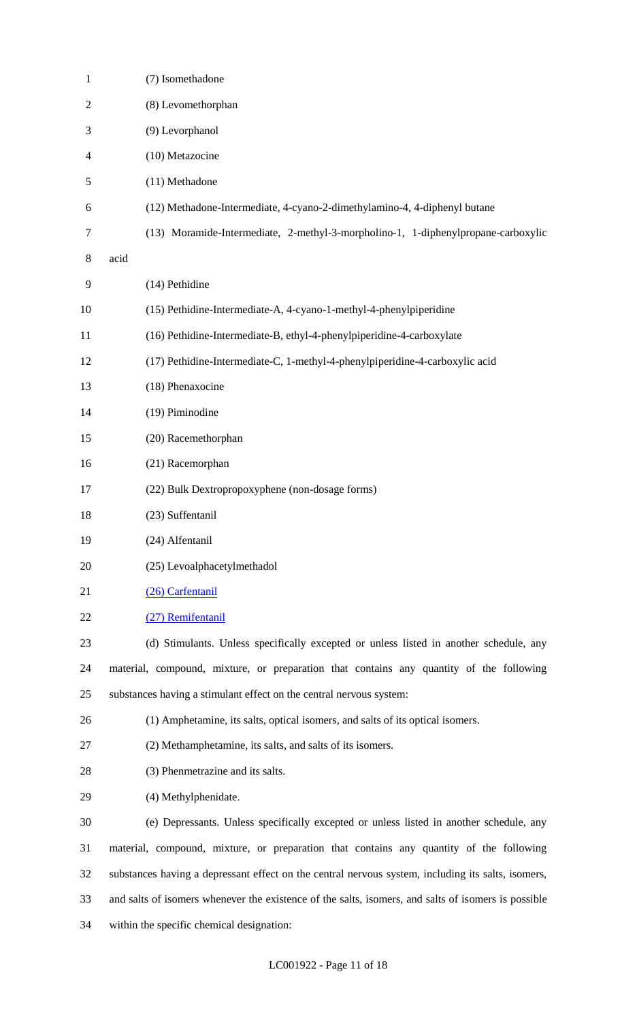| $\mathbf{1}$   | (7) Isomethadone                                                                                    |
|----------------|-----------------------------------------------------------------------------------------------------|
| 2              | (8) Levomethorphan                                                                                  |
| 3              | (9) Levorphanol                                                                                     |
| $\overline{4}$ | (10) Metazocine                                                                                     |
| 5              | (11) Methadone                                                                                      |
| 6              | (12) Methadone-Intermediate, 4-cyano-2-dimethylamino-4, 4-diphenyl butane                           |
| 7              | (13) Moramide-Intermediate, 2-methyl-3-morpholino-1, 1-diphenylpropane-carboxylic                   |
| 8              | acid                                                                                                |
| 9              | (14) Pethidine                                                                                      |
| 10             | (15) Pethidine-Intermediate-A, 4-cyano-1-methyl-4-phenylpiperidine                                  |
| 11             | (16) Pethidine-Intermediate-B, ethyl-4-phenylpiperidine-4-carboxylate                               |
| 12             | (17) Pethidine-Intermediate-C, 1-methyl-4-phenylpiperidine-4-carboxylic acid                        |
| 13             | (18) Phenaxocine                                                                                    |
| 14             | (19) Piminodine                                                                                     |
| 15             | (20) Racemethorphan                                                                                 |
| 16             | (21) Racemorphan                                                                                    |
| 17             | (22) Bulk Dextropropoxyphene (non-dosage forms)                                                     |
| 18             | (23) Suffentanil                                                                                    |
| 19             | (24) Alfentanil                                                                                     |
| 20             | (25) Levoalphacetylmethadol                                                                         |
| 21             | (26) Carfentanil                                                                                    |
| 22             | (27) Remifentanil                                                                                   |
| 23             | (d) Stimulants. Unless specifically excepted or unless listed in another schedule, any              |
| 24             | material, compound, mixture, or preparation that contains any quantity of the following             |
| 25             | substances having a stimulant effect on the central nervous system:                                 |
| 26             | (1) Amphetamine, its salts, optical isomers, and salts of its optical isomers.                      |
| 27             | (2) Methamphetamine, its salts, and salts of its isomers.                                           |
| 28             | (3) Phenmetrazine and its salts.                                                                    |
| 29             | (4) Methylphenidate.                                                                                |
| 30             | (e) Depressants. Unless specifically excepted or unless listed in another schedule, any             |
| 31             | material, compound, mixture, or preparation that contains any quantity of the following             |
| 32             | substances having a depressant effect on the central nervous system, including its salts, isomers,  |
| 33             | and salts of isomers whenever the existence of the salts, isomers, and salts of isomers is possible |
| 34             | within the specific chemical designation:                                                           |
|                |                                                                                                     |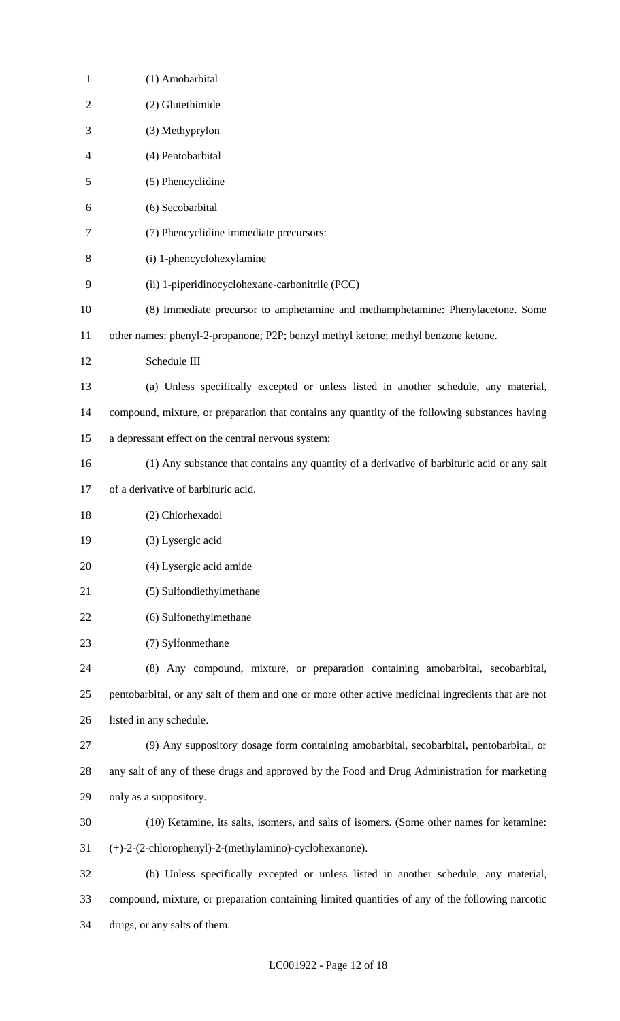| $\mathbf{1}$   | (1) Amobarbital                                                                                    |
|----------------|----------------------------------------------------------------------------------------------------|
| $\overline{2}$ | (2) Glutethimide                                                                                   |
| 3              | (3) Methyprylon                                                                                    |
| 4              | (4) Pentobarbital                                                                                  |
| 5              | (5) Phencyclidine                                                                                  |
| 6              | (6) Secobarbital                                                                                   |
| 7              | (7) Phencyclidine immediate precursors:                                                            |
| 8              | (i) 1-phencyclohexylamine                                                                          |
| 9              | (ii) 1-piperidinocyclohexane-carbonitrile (PCC)                                                    |
| 10             | (8) Immediate precursor to amphetamine and methamphetamine: Phenylacetone. Some                    |
| 11             | other names: phenyl-2-propanone; P2P; benzyl methyl ketone; methyl benzone ketone.                 |
| 12             | Schedule III                                                                                       |
| 13             | (a) Unless specifically excepted or unless listed in another schedule, any material,               |
| 14             | compound, mixture, or preparation that contains any quantity of the following substances having    |
| 15             | a depressant effect on the central nervous system:                                                 |
| 16             | (1) Any substance that contains any quantity of a derivative of barbituric acid or any salt        |
| 17             | of a derivative of barbituric acid.                                                                |
| 18             | (2) Chlorhexadol                                                                                   |
| 19             | (3) Lysergic acid                                                                                  |
| 20             | (4) Lysergic acid amide                                                                            |
| 21             | (5) Sulfondiethylmethane                                                                           |
| 22             | (6) Sulfonethylmethane                                                                             |
| 23             | (7) Sylfonmethane                                                                                  |
| 24             | (8) Any compound, mixture, or preparation containing amobarbital, secobarbital,                    |
| 25             | pentobarbital, or any salt of them and one or more other active medicinal ingredients that are not |
| 26             | listed in any schedule.                                                                            |
| 27             | (9) Any suppository dosage form containing amobarbital, secobarbital, pentobarbital, or            |
| 28             | any salt of any of these drugs and approved by the Food and Drug Administration for marketing      |
| 29             | only as a suppository.                                                                             |
| 30             | (10) Ketamine, its salts, isomers, and salts of isomers. (Some other names for ketamine:           |
| 31             | (+)-2-(2-chlorophenyl)-2-(methylamino)-cyclohexanone).                                             |
| 32             | (b) Unless specifically excepted or unless listed in another schedule, any material,               |
| 33             | compound, mixture, or preparation containing limited quantities of any of the following narcotic   |
| 34             | drugs, or any salts of them:                                                                       |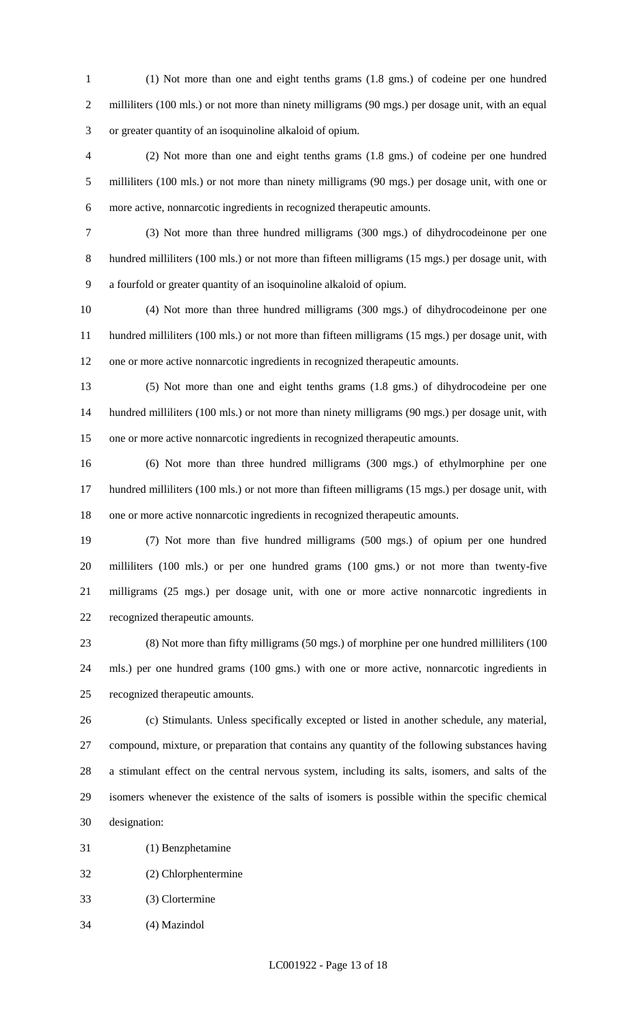(1) Not more than one and eight tenths grams (1.8 gms.) of codeine per one hundred 2 milliliters (100 mls.) or not more than ninety milligrams (90 mgs.) per dosage unit, with an equal or greater quantity of an isoquinoline alkaloid of opium.

 (2) Not more than one and eight tenths grams (1.8 gms.) of codeine per one hundred milliliters (100 mls.) or not more than ninety milligrams (90 mgs.) per dosage unit, with one or more active, nonnarcotic ingredients in recognized therapeutic amounts.

 (3) Not more than three hundred milligrams (300 mgs.) of dihydrocodeinone per one hundred milliliters (100 mls.) or not more than fifteen milligrams (15 mgs.) per dosage unit, with a fourfold or greater quantity of an isoquinoline alkaloid of opium.

 (4) Not more than three hundred milligrams (300 mgs.) of dihydrocodeinone per one hundred milliliters (100 mls.) or not more than fifteen milligrams (15 mgs.) per dosage unit, with one or more active nonnarcotic ingredients in recognized therapeutic amounts.

 (5) Not more than one and eight tenths grams (1.8 gms.) of dihydrocodeine per one hundred milliliters (100 mls.) or not more than ninety milligrams (90 mgs.) per dosage unit, with one or more active nonnarcotic ingredients in recognized therapeutic amounts.

 (6) Not more than three hundred milligrams (300 mgs.) of ethylmorphine per one hundred milliliters (100 mls.) or not more than fifteen milligrams (15 mgs.) per dosage unit, with one or more active nonnarcotic ingredients in recognized therapeutic amounts.

 (7) Not more than five hundred milligrams (500 mgs.) of opium per one hundred milliliters (100 mls.) or per one hundred grams (100 gms.) or not more than twenty-five milligrams (25 mgs.) per dosage unit, with one or more active nonnarcotic ingredients in recognized therapeutic amounts.

 (8) Not more than fifty milligrams (50 mgs.) of morphine per one hundred milliliters (100 mls.) per one hundred grams (100 gms.) with one or more active, nonnarcotic ingredients in recognized therapeutic amounts.

 (c) Stimulants. Unless specifically excepted or listed in another schedule, any material, compound, mixture, or preparation that contains any quantity of the following substances having a stimulant effect on the central nervous system, including its salts, isomers, and salts of the isomers whenever the existence of the salts of isomers is possible within the specific chemical designation:

(1) Benzphetamine

(2) Chlorphentermine

(3) Clortermine

(4) Mazindol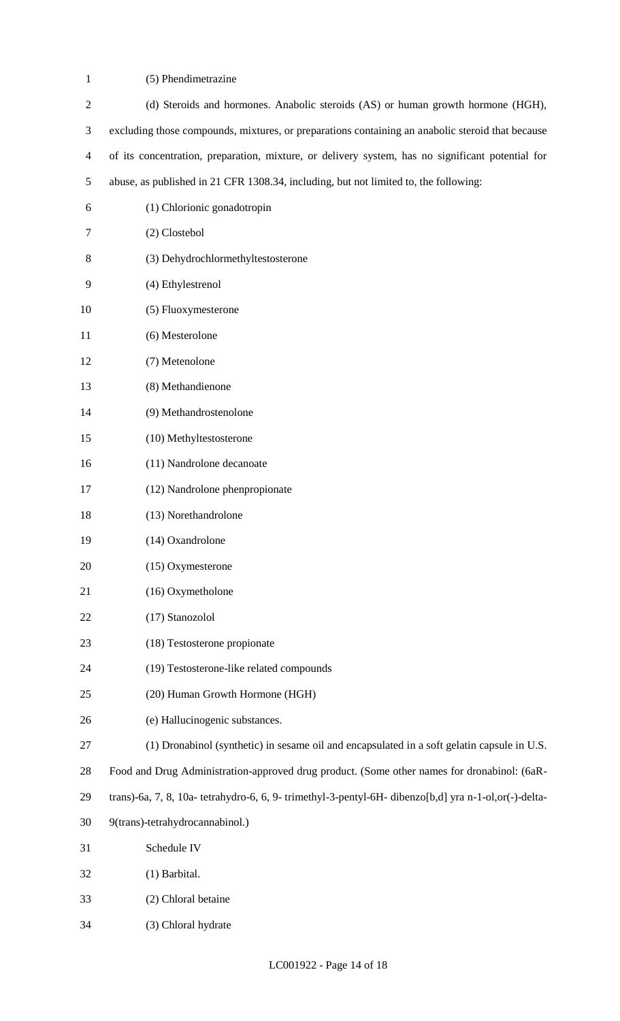(5) Phendimetrazine

| $\overline{2}$ | (d) Steroids and hormones. Anabolic steroids (AS) or human growth hormone (HGH),                      |
|----------------|-------------------------------------------------------------------------------------------------------|
| 3              | excluding those compounds, mixtures, or preparations containing an anabolic steroid that because      |
| $\overline{4}$ | of its concentration, preparation, mixture, or delivery system, has no significant potential for      |
| 5              | abuse, as published in 21 CFR 1308.34, including, but not limited to, the following:                  |
| 6              | (1) Chlorionic gonadotropin                                                                           |
| 7              | (2) Clostebol                                                                                         |
| 8              | (3) Dehydrochlormethyltestosterone                                                                    |
| 9              | (4) Ethylestrenol                                                                                     |
| 10             | (5) Fluoxymesterone                                                                                   |
| 11             | (6) Mesterolone                                                                                       |
| 12             | (7) Metenolone                                                                                        |
| 13             | (8) Methandienone                                                                                     |
| 14             | (9) Methandrostenolone                                                                                |
| 15             | (10) Methyltestosterone                                                                               |
| 16             | (11) Nandrolone decanoate                                                                             |
| 17             | (12) Nandrolone phenpropionate                                                                        |
| 18             | (13) Norethandrolone                                                                                  |
| 19             | (14) Oxandrolone                                                                                      |
| 20             | (15) Oxymesterone                                                                                     |
| 21             | (16) Oxymetholone                                                                                     |
| 22             | (17) Stanozolol                                                                                       |
| 23             | (18) Testosterone propionate                                                                          |
| 24             | (19) Testosterone-like related compounds                                                              |
| 25             | (20) Human Growth Hormone (HGH)                                                                       |
| 26             | (e) Hallucinogenic substances.                                                                        |
| 27             | (1) Dronabinol (synthetic) in sesame oil and encapsulated in a soft gelatin capsule in U.S.           |
| 28             | Food and Drug Administration-approved drug product. (Some other names for dronabinol: (6aR-           |
| 29             | trans)-6a, 7, 8, 10a- tetrahydro-6, 6, 9- trimethyl-3-pentyl-6H- dibenzo[b,d] yra n-1-ol,or(-)-delta- |
| 30             | 9(trans)-tetrahydrocannabinol.)                                                                       |
| 31             | Schedule IV                                                                                           |
| 32             | (1) Barbital.                                                                                         |
| 33             | (2) Chloral betaine                                                                                   |
| 34             | (3) Chloral hydrate                                                                                   |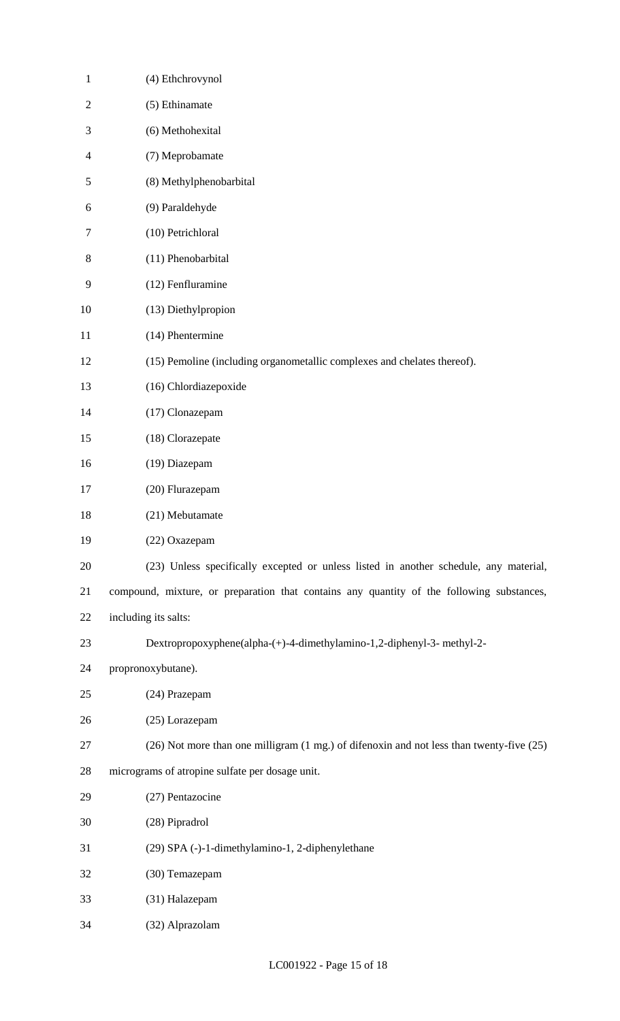| $\mathbf{1}$   | (4) Ethchrovynol                                                                          |
|----------------|-------------------------------------------------------------------------------------------|
| $\mathfrak{2}$ | (5) Ethinamate                                                                            |
| 3              | (6) Methohexital                                                                          |
| $\overline{4}$ | (7) Meprobamate                                                                           |
| 5              | (8) Methylphenobarbital                                                                   |
| 6              | (9) Paraldehyde                                                                           |
| 7              | (10) Petrichloral                                                                         |
| 8              | (11) Phenobarbital                                                                        |
| 9              | (12) Fenfluramine                                                                         |
| 10             | (13) Diethylpropion                                                                       |
| 11             | (14) Phentermine                                                                          |
| 12             | (15) Pemoline (including organometallic complexes and chelates thereof).                  |
| 13             | (16) Chlordiazepoxide                                                                     |
| 14             | (17) Clonazepam                                                                           |
| 15             | (18) Clorazepate                                                                          |
| 16             | (19) Diazepam                                                                             |
| 17             | (20) Flurazepam                                                                           |
| 18             | (21) Mebutamate                                                                           |
| 19             | (22) Oxazepam                                                                             |
| 20             | (23) Unless specifically excepted or unless listed in another schedule, any material,     |
| 21             | compound, mixture, or preparation that contains any quantity of the following substances, |
| 22             | including its salts:                                                                      |
| 23             | Dextropropoxyphene(alpha-(+)-4-dimethylamino-1,2-diphenyl-3- methyl-2-                    |
| 24             | propronoxybutane).                                                                        |
| 25             | (24) Prazepam                                                                             |
| 26             | (25) Lorazepam                                                                            |
| 27             | (26) Not more than one milligram (1 mg.) of difenoxin and not less than twenty-five (25)  |
| 28             | micrograms of atropine sulfate per dosage unit.                                           |
| 29             | (27) Pentazocine                                                                          |
| 30             | (28) Pipradrol                                                                            |
| 31             | (29) SPA (-)-1-dimethylamino-1, 2-diphenylethane                                          |
| 32             | (30) Temazepam                                                                            |
| 33             | (31) Halazepam                                                                            |
| 34             | (32) Alprazolam                                                                           |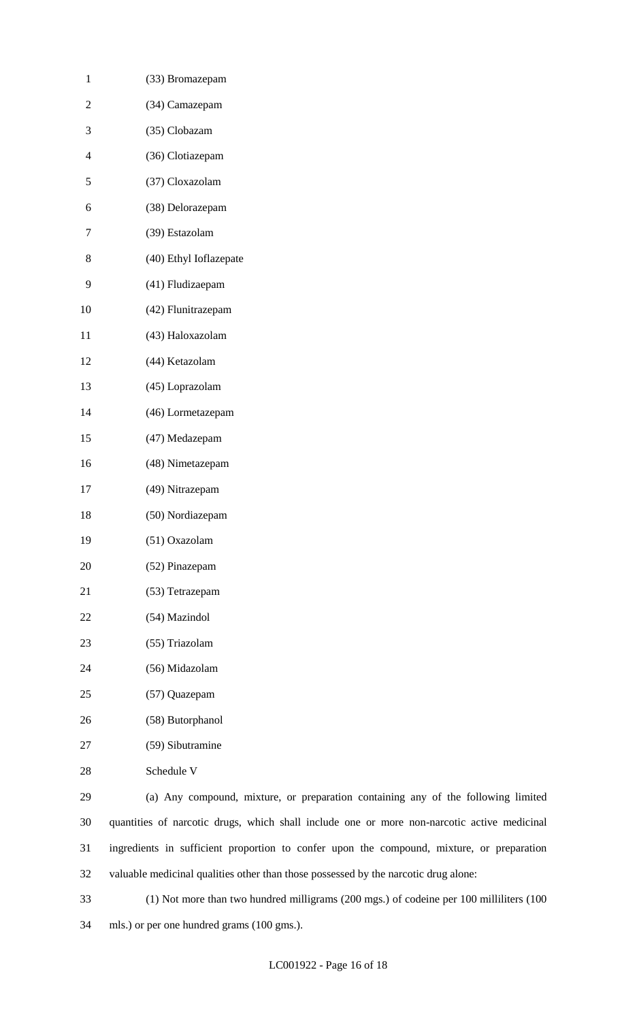| $\mathbf{1}$   | (33) Bromazepam                                                                             |
|----------------|---------------------------------------------------------------------------------------------|
| $\overline{2}$ | (34) Camazepam                                                                              |
| 3              | (35) Clobazam                                                                               |
| $\overline{4}$ | (36) Clotiazepam                                                                            |
| 5              | (37) Cloxazolam                                                                             |
| 6              | (38) Delorazepam                                                                            |
| 7              | (39) Estazolam                                                                              |
| 8              | (40) Ethyl Ioflazepate                                                                      |
| 9              | (41) Fludizaepam                                                                            |
| 10             | (42) Flunitrazepam                                                                          |
| 11             | (43) Haloxazolam                                                                            |
| 12             | (44) Ketazolam                                                                              |
| 13             | (45) Loprazolam                                                                             |
| 14             | (46) Lormetazepam                                                                           |
| 15             | (47) Medazepam                                                                              |
| 16             | (48) Nimetazepam                                                                            |
| 17             | (49) Nitrazepam                                                                             |
| 18             | (50) Nordiazepam                                                                            |
| 19             | (51) Oxazolam                                                                               |
| 20             | (52) Pinazepam                                                                              |
| 21             | (53) Tetrazepam                                                                             |
| 22             | (54) Mazindol                                                                               |
| 23             | (55) Triazolam                                                                              |
| 24             | (56) Midazolam                                                                              |
| 25             | (57) Quazepam                                                                               |
| 26             | (58) Butorphanol                                                                            |
| 27             | (59) Sibutramine                                                                            |
| 28             | Schedule V                                                                                  |
| 29             | (a) Any compound, mixture, or preparation containing any of the following limited           |
| 30             | quantities of narcotic drugs, which shall include one or more non-narcotic active medicinal |
| 31             | ingredients in sufficient proportion to confer upon the compound, mixture, or preparation   |
| 32             | valuable medicinal qualities other than those possessed by the narcotic drug alone:         |

 (1) Not more than two hundred milligrams (200 mgs.) of codeine per 100 milliliters (100 mls.) or per one hundred grams (100 gms.).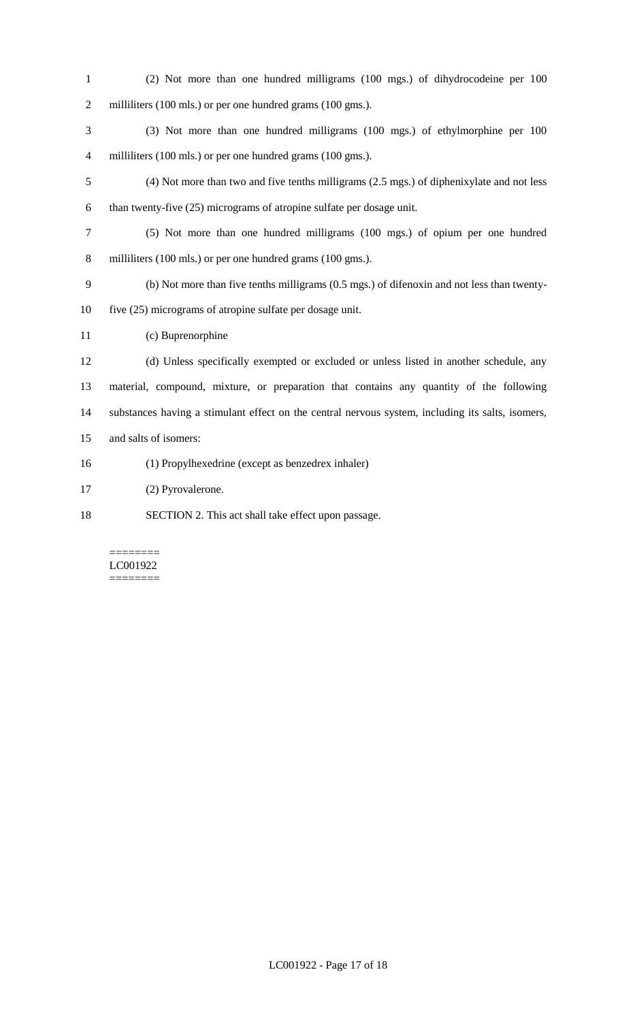- (2) Not more than one hundred milligrams (100 mgs.) of dihydrocodeine per 100 2 milliliters (100 mls.) or per one hundred grams (100 gms.).
- (3) Not more than one hundred milligrams (100 mgs.) of ethylmorphine per 100 4 milliliters (100 mls.) or per one hundred grams (100 gms.).
- (4) Not more than two and five tenths milligrams (2.5 mgs.) of diphenixylate and not less than twenty-five (25) micrograms of atropine sulfate per dosage unit.
- (5) Not more than one hundred milligrams (100 mgs.) of opium per one hundred 8 milliliters (100 mls.) or per one hundred grams (100 gms.).
- (b) Not more than five tenths milligrams (0.5 mgs.) of difenoxin and not less than twenty-five (25) micrograms of atropine sulfate per dosage unit.
- (c) Buprenorphine
- (d) Unless specifically exempted or excluded or unless listed in another schedule, any material, compound, mixture, or preparation that contains any quantity of the following substances having a stimulant effect on the central nervous system, including its salts, isomers, and salts of isomers:
- (1) Propylhexedrine (except as benzedrex inhaler)
- (2) Pyrovalerone.
- SECTION 2. This act shall take effect upon passage.

#### ======== LC001922 ========